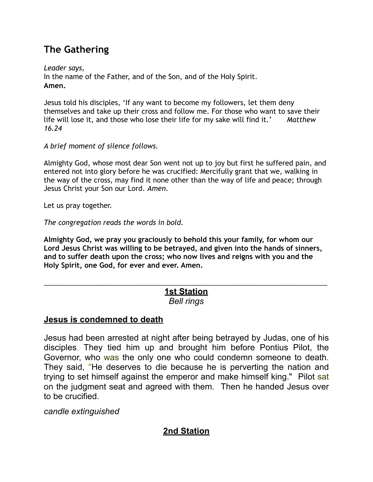# **The Gathering**

*Leader says,*  In the name of the Father, and of the Son, and of the Holy Spirit. **Amen.** 

Jesus told his disciples, 'If any want to become my followers, let them deny themselves and take up their cross and follow me. For those who want to save their life will lose it, and those who lose their life for my sake will find it.' *Matthew 16.24* 

*A brief moment of silence follows.*

Almighty God, whose most dear Son went not up to joy but first he suffered pain, and entered not into glory before he was crucified: Mercifully grant that we, walking in the way of the cross, may find it none other than the way of life and peace; through Jesus Christ your Son our Lord. *Amen.* 

Let us pray together.

*The congregation reads the words in bold.* 

**Almighty God, we pray you graciously to behold this your family, for whom our Lord Jesus Christ was willing to be betrayed, and given into the hands of sinners, and to suffer death upon the cross; who now lives and reigns with you and the Holy Spirit, one God, for ever and ever. Amen.** 

#### \_\_\_\_\_\_\_\_\_\_\_\_\_\_\_\_\_\_\_\_\_\_\_\_\_\_\_\_\_\_\_\_\_\_\_\_\_\_\_\_\_\_\_\_\_\_\_\_\_\_\_\_\_\_\_\_\_\_\_\_\_\_\_\_\_\_\_\_\_\_\_\_\_\_ **1st Station** *Bell rings*

## **Jesus is condemned to death**

Jesus had been arrested at night after being betrayed by Judas, one of his disciples. They tied him up and brought him before Pontius Pilot, the Governor, who was the only one who could condemn someone to death. They said, "He deserves to die because he is perverting the nation and trying to set himself against the emperor and make himself king." Pilot sat on the judgment seat and agreed with them. Then he handed Jesus over to be crucified.

*candle extinguished*

# **2nd Station**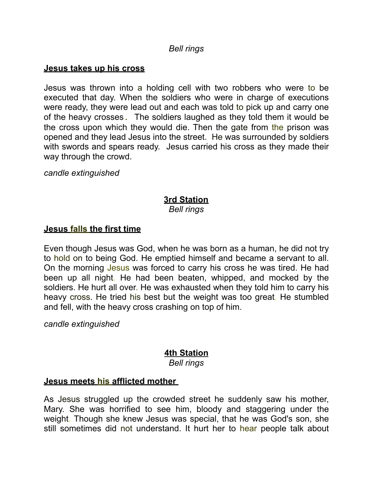#### *Bell rings*

#### **Jesus takes up his cross**

Jesus was thrown into a holding cell with two robbers who were to be executed that day. When the soldiers who were in charge of executions were ready, they were lead out and each was told to pick up and carry one of the heavy crosses. The soldiers laughed as they told them it would be the cross upon which they would die. Then the gate from the prison was opened and they lead Jesus into the street. He was surrounded by soldiers with swords and spears ready. Jesus carried his cross as they made their way through the crowd.

*candle extinguished*

# **3rd Station**

*Bell rings*

### **Jesus falls the first time**

Even though Jesus was God, when he was born as a human, he did not try to hold on to being God. He emptied himself and became a servant to all. On the morning Jesus was forced to carry his cross he was tired. He had been up all night. He had been beaten, whipped, and mocked by the soldiers. He hurt all over. He was exhausted when they told him to carry his heavy cross. He tried his best but the weight was too great. He stumbled and fell, with the heavy cross crashing on top of him.

*candle extinguished*

# **4th Station**

*Bell rings*

#### **Jesus meets his afflicted mother**

As Jesus struggled up the crowded street he suddenly saw his mother, Mary. She was horrified to see him, bloody and staggering under the weight. Though she knew Jesus was special, that he was God's son, she still sometimes did not understand. It hurt her to hear people talk about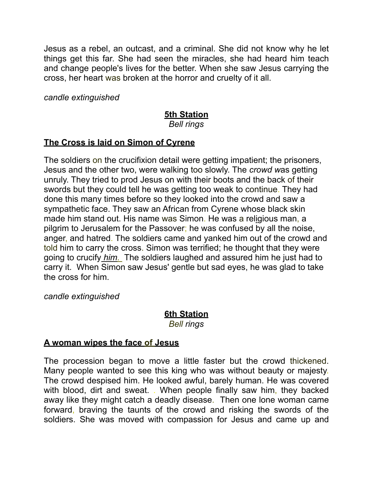Jesus as a rebel, an outcast, and a criminal. She did not know why he let things get this far. She had seen the miracles, she had heard him teach and change people's lives for the better. When she saw Jesus carrying the cross, her heart was broken at the horror and cruelty of it all.

*candle extinguished* 

# **5th Station**

#### *Bell rings*

### **The Cross is laid on Simon of Cyrene**

The soldiers on the crucifixion detail were getting impatient; the prisoners, Jesus and the other two, were walking too slowly. The *crowd w*as getting unruly. They tried to prod Jesus on with their boots and the back of their swords but they could tell he was getting too weak to continue. They had done this many times before so they looked into the crowd and saw a sympathetic face. They saw an African from Cyrene whose black skin made him stand out. His name was Simon. He was a religious man, a pilgrim to Jerusalem for the Passover; he was confused by all the noise, anger, and hatred. The soldiers came and yanked him out of the crowd and told him to carry the cross. Simon was terrified; he thought that they were going to crucify *him.* The soldiers laughed and assured him he just had to carry it. When Simon saw Jesus' gentle but sad eyes, he was glad to take the cross for him.

*candle extinguished* 

# **6th Station**

*Bell rings*

## **A woman wipes the face of Jesus**

The procession began to move a little faster but the crowd thickened. Many people wanted to see this king who was without beauty or majesty. The crowd despised him. He looked awful, barely human. He was covered with blood, dirt and sweat. . When people finally saw him, they backed away like they might catch a deadly disease. Then one lone woman came forward, braving the taunts of the crowd and risking the swords of the soldiers. She was moved with compassion for Jesus and came up and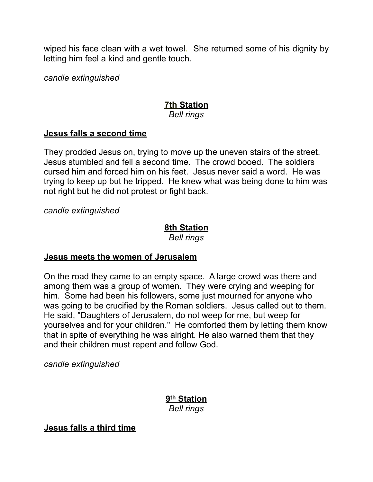wiped his face clean with a wet towel. She returned some of his dignity by letting him feel a kind and gentle touch.

*candle extinguished*

# **7th Station**

## *Bell rings*

# **Jesus falls a second time**

They prodded Jesus on, trying to move up the uneven stairs of the street. Jesus stumbled and fell a second time. The crowd booed. The soldiers cursed him and forced him on his feet. Jesus never said a word. He was trying to keep up but he tripped. He knew what was being done to him was not right but he did not protest or fight back.

*candle extinguished* 

# **8th Station**

*Bell rings* 

# **Jesus meets the women of Jerusalem**

On the road they came to an empty space. A large crowd was there and among them was a group of women. They were crying and weeping for him. Some had been his followers, some just mourned for anyone who was going to be crucified by the Roman soldiers. Jesus called out to them. He said, "Daughters of Jerusalem, do not weep for me, but weep for yourselves and for your children." He comforted them by letting them know that in spite of everything he was alright. He also warned them that they and their children must repent and follow God.

*candle extinguished* 

**9th Station**  *Bell rings* 

**Jesus falls a third time**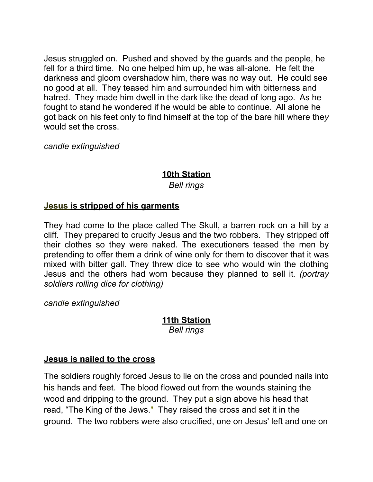Jesus struggled on. Pushed and shoved by the guards and the people, he fell for a third time. No one helped him up, he was all-alone. He felt the darkness and gloom overshadow him, there was no way out. He could see no good at all. They teased him and surrounded him with bitterness and hatred. They made him dwell in the dark like the dead of long ago. As he fought to stand he wondered if he would be able to continue. All alone he got back on his feet only to find himself at the top of the bare hill where the*y*  would set the cross.

*candle extinguished* 

# **10th Station**  *Bell rings*

## **Jesus is stripped of his garments**

They had come to the place called The Skull, a barren rock on a hill by a cliff. They prepared to crucify Jesus and the two robbers. They stripped off their clothes so they were naked. The executioners teased the men by pretending to offer them a drink of wine only for them to discover that it was mixed with bitter gall. They threw dice to see who would win the clothing Jesus and the others had worn because they planned to sell it*. (portray soldiers rolling dice for clothing)* 

*candle extinguished* 

### **11th Station**  *Bell rings*

## **Jesus is nailed to the cross**

The soldiers roughly forced Jesus to lie on the cross and pounded nails into his hands and feet. The blood flowed out from the wounds staining the wood and dripping to the ground. They put a sign above his head that read, "The King of the Jews." They raised the cross and set it in the ground. The two robbers were also crucified, one on Jesus' left and one on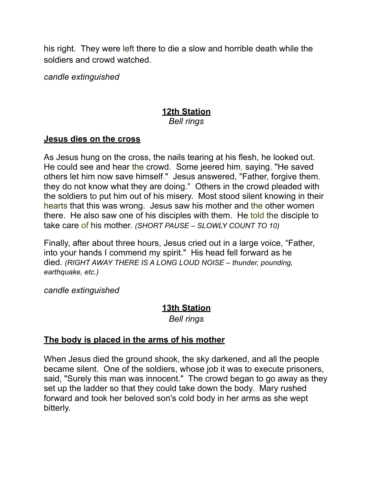his right. They were left there to die a slow and horrible death while the soldiers and crowd watched.

*candle extinguished* 

#### **12th Station** *Bell rings*

### **Jesus dies on the cross**

As Jesus hung on the cross, the nails tearing at his flesh, he looked out. He could see and hear the crowd. Some jeered him, saying, "He saved others let him now save himself." Jesus answered, "Father, forgive them, they do not know what they are doing." Others in the crowd pleaded with the soldiers to put him out of his misery. Most stood silent knowing in their hearts that this was wrong. Jesus saw his mother and the other women there. He also saw one of his disciples with them. He told the disciple to take care of his mother. *(SHORT PAUSE – SLOWLY COUNT TO 10)*

Finally, after about three hours, Jesus cried out in a large voice, "Father, into your hands I commend my spirit." His head fell forward as he died. *(RIGHT AWAY THERE IS A LONG LOUD NOISE – thunder, pounding, earthquake, etc.)* 

*candle extinguished* 

## **13th Station**

*Bell rings* 

## **The body is placed in the arms of his mother**

When Jesus died the ground shook, the sky darkened, and all the people became silent. One of the soldiers, whose job it was to execute prisoners, said, "Surely this man was innocent." The crowd began to go away as they set up the ladder so that they could take down the body. Mary rushed forward and took her beloved son's cold body in her arms as she wept bitterly.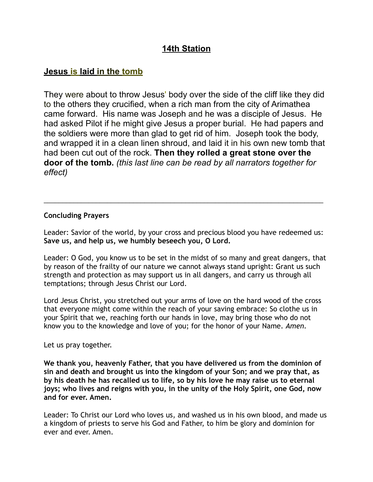# **14th Station**

# **Jesus is laid in the tomb**

They were about to throw Jesus' body over the side of the cliff like they did to the others they crucified, when a rich man from the city of Arimathea came forward. His name was Joseph and he was a disciple of Jesus. He had asked Pilot if he might give Jesus a proper burial. He had papers and the soldiers were more than glad to get rid of him. Joseph took the body, and wrapped it in a clean linen shroud, and laid it in his own new tomb that had been cut out of the rock. **Then they rolled a great stone over the door of the tomb.** *(this last line can be read by all narrators together for effect)*

#### **Concluding Prayers**

Leader: Savior of the world, by your cross and precious blood you have redeemed us: **Save us, and help us, we humbly beseech you, O Lord.** 

\_\_\_\_\_\_\_\_\_\_\_\_\_\_\_\_\_\_\_\_\_\_\_\_\_\_\_\_\_\_\_\_\_\_\_\_\_\_\_\_\_\_\_\_\_\_\_\_\_\_\_\_\_\_\_\_\_\_\_\_\_\_\_\_\_\_\_\_\_\_\_\_\_\_\_

Leader: O God, you know us to be set in the midst of so many and great dangers, that by reason of the frailty of our nature we cannot always stand upright: Grant us such strength and protection as may support us in all dangers, and carry us through all temptations; through Jesus Christ our Lord.

Lord Jesus Christ, you stretched out your arms of love on the hard wood of the cross that everyone might come within the reach of your saving embrace: So clothe us in your Spirit that we, reaching forth our hands in love, may bring those who do not know you to the knowledge and love of you; for the honor of your Name. *Amen.*

Let us pray together.

**We thank you, heavenly Father, that you have delivered us from the dominion of sin and death and brought us into the kingdom of your Son; and we pray that, as by his death he has recalled us to life, so by his love he may raise us to eternal joys; who lives and reigns with you, in the unity of the Holy Spirit, one God, now and for ever. Amen.** 

Leader: To Christ our Lord who loves us, and washed us in his own blood, and made us a kingdom of priests to serve his God and Father, to him be glory and dominion for ever and ever. Amen.